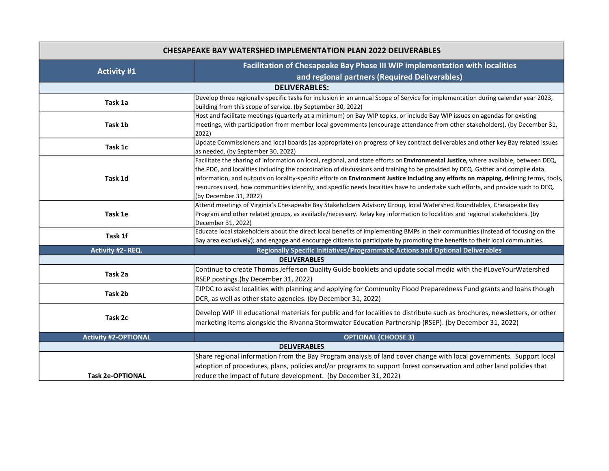| <b>CHESAPEAKE BAY WATERSHED IMPLEMENTATION PLAN 2022 DELIVERABLES</b> |                                                                                                                                                                                                                                                                                                                                                                                                                                                                                                                                                                              |  |
|-----------------------------------------------------------------------|------------------------------------------------------------------------------------------------------------------------------------------------------------------------------------------------------------------------------------------------------------------------------------------------------------------------------------------------------------------------------------------------------------------------------------------------------------------------------------------------------------------------------------------------------------------------------|--|
| <b>Activity #1</b>                                                    | Facilitation of Chesapeake Bay Phase III WIP implementation with localities<br>and regional partners (Required Deliverables)                                                                                                                                                                                                                                                                                                                                                                                                                                                 |  |
| <b>DELIVERABLES:</b>                                                  |                                                                                                                                                                                                                                                                                                                                                                                                                                                                                                                                                                              |  |
| Task 1a                                                               | Develop three regionally-specific tasks for inclusion in an annual Scope of Service for implementation during calendar year 2023,<br>building from this scope of service. (by September 30, 2022)                                                                                                                                                                                                                                                                                                                                                                            |  |
| Task 1b                                                               | Host and facilitate meetings (quarterly at a minimum) on Bay WIP topics, or include Bay WIP issues on agendas for existing<br>meetings, with participation from member local governments (encourage attendance from other stakeholders). (by December 31,<br>2022)                                                                                                                                                                                                                                                                                                           |  |
| Task 1c                                                               | Update Commissioners and local boards (as appropriate) on progress of key contract deliverables and other key Bay related issues<br>as needed. (by September 30, 2022)                                                                                                                                                                                                                                                                                                                                                                                                       |  |
| Task 1d                                                               | Facilitate the sharing of information on local, regional, and state efforts on Environmental Justice, where available, between DEQ,<br>the PDC, and localities including the coordination of discussions and training to be provided by DEQ. Gather and compile data,<br>information, and outputs on locality-specific efforts on Environment Justice including any efforts on mapping, defining terms, tools,<br>resources used, how communities identify, and specific needs localities have to undertake such efforts, and provide such to DEQ.<br>(by December 31, 2022) |  |
| Task 1e                                                               | Attend meetings of Virginia's Chesapeake Bay Stakeholders Advisory Group, local Watershed Roundtables, Chesapeake Bay<br>Program and other related groups, as available/necessary. Relay key information to localities and regional stakeholders. (by<br>December 31, 2022)                                                                                                                                                                                                                                                                                                  |  |
| Task 1f                                                               | Educate local stakeholders about the direct local benefits of implementing BMPs in their communities (instead of focusing on the<br>Bay area exclusively); and engage and encourage citizens to participate by promoting the benefits to their local communities.                                                                                                                                                                                                                                                                                                            |  |
| Activity #2- REQ.                                                     | Regionally Specific Initiatives/Programmatic Actions and Optional Deliverables                                                                                                                                                                                                                                                                                                                                                                                                                                                                                               |  |
| <b>DELIVERABLES</b>                                                   |                                                                                                                                                                                                                                                                                                                                                                                                                                                                                                                                                                              |  |
| Task 2a                                                               | Continue to create Thomas Jefferson Quality Guide booklets and update social media with the #LoveYourWatershed<br>RSEP postings.(by December 31, 2022)                                                                                                                                                                                                                                                                                                                                                                                                                       |  |
| Task 2b                                                               | TJPDC to assist localities with planning and applying for Community Flood Preparedness Fund grants and loans though<br>DCR, as well as other state agencies. (by December 31, 2022)                                                                                                                                                                                                                                                                                                                                                                                          |  |
| Task 2c                                                               | Develop WIP III educational materials for public and for localities to distribute such as brochures, newsletters, or other<br>marketing items alongside the Rivanna Stormwater Education Partnership (RSEP). (by December 31, 2022)                                                                                                                                                                                                                                                                                                                                          |  |
| <b>Activity #2-OPTIONAL</b>                                           | <b>OPTIONAL (CHOOSE 3)</b>                                                                                                                                                                                                                                                                                                                                                                                                                                                                                                                                                   |  |
| <b>DELIVERABLES</b>                                                   |                                                                                                                                                                                                                                                                                                                                                                                                                                                                                                                                                                              |  |
| <b>Task 2e-OPTIONAL</b>                                               | Share regional information from the Bay Program analysis of land cover change with local governments. Support local<br>adoption of procedures, plans, policies and/or programs to support forest conservation and other land policies that<br>reduce the impact of future development. (by December 31, 2022)                                                                                                                                                                                                                                                                |  |